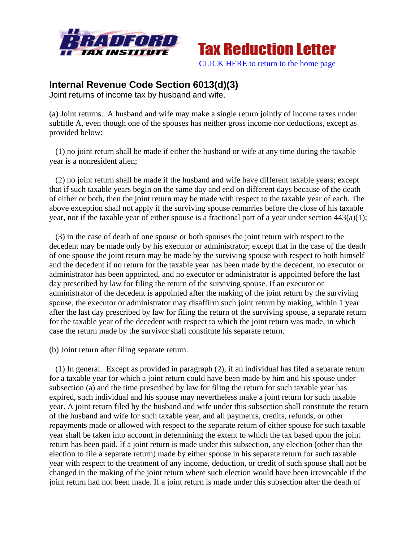



## **Internal Revenue Code Section 6013(d)(3)**

Joint returns of income tax by husband and wife.

(a) Joint returns. A husband and wife may make a single return jointly of income taxes under subtitle A, even though one of the spouses has neither gross income nor deductions, except as provided below:

 (1) no joint return shall be made if either the husband or wife at any time during the taxable year is a nonresident alien;

 (2) no joint return shall be made if the husband and wife have different taxable years; except that if such taxable years begin on the same day and end on different days because of the death of either or both, then the joint return may be made with respect to the taxable year of each. The above exception shall not apply if the surviving spouse remarries before the close of his taxable year, nor if the taxable year of either spouse is a fractional part of a year under section 443(a)(1);

 (3) in the case of death of one spouse or both spouses the joint return with respect to the decedent may be made only by his executor or administrator; except that in the case of the death of one spouse the joint return may be made by the surviving spouse with respect to both himself and the decedent if no return for the taxable year has been made by the decedent, no executor or administrator has been appointed, and no executor or administrator is appointed before the last day prescribed by law for filing the return of the surviving spouse. If an executor or administrator of the decedent is appointed after the making of the joint return by the surviving spouse, the executor or administrator may disaffirm such joint return by making, within 1 year after the last day prescribed by law for filing the return of the surviving spouse, a separate return for the taxable year of the decedent with respect to which the joint return was made, in which case the return made by the survivor shall constitute his separate return.

(b) Joint return after filing separate return.

 (1) In general. Except as provided in paragraph (2), if an individual has filed a separate return for a taxable year for which a joint return could have been made by him and his spouse under subsection (a) and the time prescribed by law for filing the return for such taxable year has expired, such individual and his spouse may nevertheless make a joint return for such taxable year. A joint return filed by the husband and wife under this subsection shall constitute the return of the husband and wife for such taxable year, and all payments, credits, refunds, or other repayments made or allowed with respect to the separate return of either spouse for such taxable year shall be taken into account in determining the extent to which the tax based upon the joint return has been paid. If a joint return is made under this subsection, any election (other than the election to file a separate return) made by either spouse in his separate return for such taxable year with respect to the treatment of any income, deduction, or credit of such spouse shall not be changed in the making of the joint return where such election would have been irrevocable if the joint return had not been made. If a joint return is made under this subsection after the death of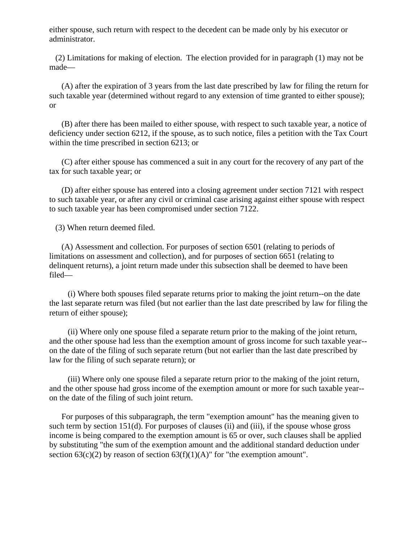either spouse, such return with respect to the decedent can be made only by his executor or administrator.

 (2) Limitations for making of election. The election provided for in paragraph (1) may not be made—

 (A) after the expiration of 3 years from the last date prescribed by law for filing the return for such taxable year (determined without regard to any extension of time granted to either spouse); or

 (B) after there has been mailed to either spouse, with respect to such taxable year, a notice of deficiency under section 6212, if the spouse, as to such notice, files a petition with the Tax Court within the time prescribed in section 6213; or

 (C) after either spouse has commenced a suit in any court for the recovery of any part of the tax for such taxable year; or

 (D) after either spouse has entered into a closing agreement under section 7121 with respect to such taxable year, or after any civil or criminal case arising against either spouse with respect to such taxable year has been compromised under section 7122.

(3) When return deemed filed.

 (A) Assessment and collection. For purposes of section 6501 (relating to periods of limitations on assessment and collection), and for purposes of section 6651 (relating to delinquent returns), a joint return made under this subsection shall be deemed to have been filed—

 (i) Where both spouses filed separate returns prior to making the joint return--on the date the last separate return was filed (but not earlier than the last date prescribed by law for filing the return of either spouse);

 (ii) Where only one spouse filed a separate return prior to the making of the joint return, and the other spouse had less than the exemption amount of gross income for such taxable year- on the date of the filing of such separate return (but not earlier than the last date prescribed by law for the filing of such separate return); or

 (iii) Where only one spouse filed a separate return prior to the making of the joint return, and the other spouse had gross income of the exemption amount or more for such taxable year- on the date of the filing of such joint return.

 For purposes of this subparagraph, the term "exemption amount" has the meaning given to such term by section 151(d). For purposes of clauses (ii) and (iii), if the spouse whose gross income is being compared to the exemption amount is 65 or over, such clauses shall be applied by substituting "the sum of the exemption amount and the additional standard deduction under section  $63(c)(2)$  by reason of section  $63(f)(1)(A)$ " for "the exemption amount".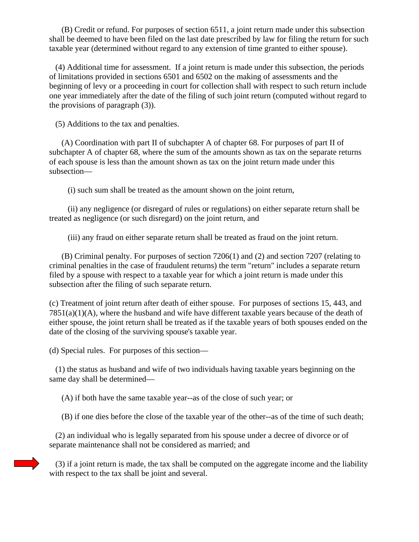(B) Credit or refund. For purposes of section 6511, a joint return made under this subsection shall be deemed to have been filed on the last date prescribed by law for filing the return for such taxable year (determined without regard to any extension of time granted to either spouse).

 (4) Additional time for assessment. If a joint return is made under this subsection, the periods of limitations provided in sections 6501 and 6502 on the making of assessments and the beginning of levy or a proceeding in court for collection shall with respect to such return include one year immediately after the date of the filing of such joint return (computed without regard to the provisions of paragraph (3)).

(5) Additions to the tax and penalties.

 (A) Coordination with part II of subchapter A of chapter 68. For purposes of part II of subchapter A of chapter 68, where the sum of the amounts shown as tax on the separate returns of each spouse is less than the amount shown as tax on the joint return made under this subsection—

(i) such sum shall be treated as the amount shown on the joint return,

 (ii) any negligence (or disregard of rules or regulations) on either separate return shall be treated as negligence (or such disregard) on the joint return, and

(iii) any fraud on either separate return shall be treated as fraud on the joint return.

 (B) Criminal penalty. For purposes of section 7206(1) and (2) and section 7207 (relating to criminal penalties in the case of fraudulent returns) the term "return" includes a separate return filed by a spouse with respect to a taxable year for which a joint return is made under this subsection after the filing of such separate return.

(c) Treatment of joint return after death of either spouse. For purposes of sections 15, 443, and  $7851(a)(1)(A)$ , where the husband and wife have different taxable years because of the death of either spouse, the joint return shall be treated as if the taxable years of both spouses ended on the date of the closing of the surviving spouse's taxable year.

(d) Special rules. For purposes of this section—

 (1) the status as husband and wife of two individuals having taxable years beginning on the same day shall be determined—

(A) if both have the same taxable year--as of the close of such year; or

(B) if one dies before the close of the taxable year of the other--as of the time of such death;

 (2) an individual who is legally separated from his spouse under a decree of divorce or of separate maintenance shall not be considered as married; and

 (3) if a joint return is made, the tax shall be computed on the aggregate income and the liability with respect to the tax shall be joint and several.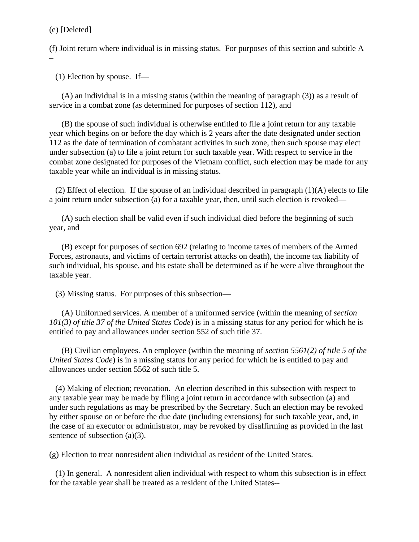(e) [Deleted]

(f) Joint return where individual is in missing status. For purposes of this section and subtitle A –

(1) Election by spouse. If—

 (A) an individual is in a missing status (within the meaning of paragraph (3)) as a result of service in a combat zone (as determined for purposes of section 112), and

 (B) the spouse of such individual is otherwise entitled to file a joint return for any taxable year which begins on or before the day which is 2 years after the date designated under section 112 as the date of termination of combatant activities in such zone, then such spouse may elect under subsection (a) to file a joint return for such taxable year. With respect to service in the combat zone designated for purposes of the Vietnam conflict, such election may be made for any taxable year while an individual is in missing status.

(2) Effect of election. If the spouse of an individual described in paragraph  $(1)(A)$  elects to file a joint return under subsection (a) for a taxable year, then, until such election is revoked—

 (A) such election shall be valid even if such individual died before the beginning of such year, and

 (B) except for purposes of section 692 (relating to income taxes of members of the Armed Forces, astronauts, and victims of certain terrorist attacks on death), the income tax liability of such individual, his spouse, and his estate shall be determined as if he were alive throughout the taxable year.

(3) Missing status. For purposes of this subsection—

 (A) Uniformed services. A member of a uniformed service (within the meaning of *section 101(3) of title 37 of the United States Code*) is in a missing status for any period for which he is entitled to pay and allowances under section 552 of such title 37.

 (B) Civilian employees. An employee (within the meaning of *section 5561(2) of title 5 of the United States Code*) is in a missing status for any period for which he is entitled to pay and allowances under section 5562 of such title 5.

 (4) Making of election; revocation. An election described in this subsection with respect to any taxable year may be made by filing a joint return in accordance with subsection (a) and under such regulations as may be prescribed by the Secretary. Such an election may be revoked by either spouse on or before the due date (including extensions) for such taxable year, and, in the case of an executor or administrator, may be revoked by disaffirming as provided in the last sentence of subsection (a)(3).

(g) Election to treat nonresident alien individual as resident of the United States.

 (1) In general. A nonresident alien individual with respect to whom this subsection is in effect for the taxable year shall be treated as a resident of the United States--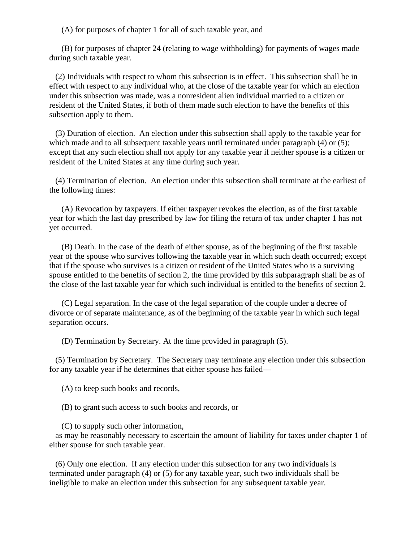(A) for purposes of chapter 1 for all of such taxable year, and

 (B) for purposes of chapter 24 (relating to wage withholding) for payments of wages made during such taxable year.

 (2) Individuals with respect to whom this subsection is in effect. This subsection shall be in effect with respect to any individual who, at the close of the taxable year for which an election under this subsection was made, was a nonresident alien individual married to a citizen or resident of the United States, if both of them made such election to have the benefits of this subsection apply to them.

 (3) Duration of election. An election under this subsection shall apply to the taxable year for which made and to all subsequent taxable years until terminated under paragraph (4) or (5); except that any such election shall not apply for any taxable year if neither spouse is a citizen or resident of the United States at any time during such year.

 (4) Termination of election. An election under this subsection shall terminate at the earliest of the following times:

 (A) Revocation by taxpayers. If either taxpayer revokes the election, as of the first taxable year for which the last day prescribed by law for filing the return of tax under chapter 1 has not yet occurred.

 (B) Death. In the case of the death of either spouse, as of the beginning of the first taxable year of the spouse who survives following the taxable year in which such death occurred; except that if the spouse who survives is a citizen or resident of the United States who is a surviving spouse entitled to the benefits of section 2, the time provided by this subparagraph shall be as of the close of the last taxable year for which such individual is entitled to the benefits of section 2.

 (C) Legal separation. In the case of the legal separation of the couple under a decree of divorce or of separate maintenance, as of the beginning of the taxable year in which such legal separation occurs.

(D) Termination by Secretary. At the time provided in paragraph (5).

 (5) Termination by Secretary. The Secretary may terminate any election under this subsection for any taxable year if he determines that either spouse has failed—

(A) to keep such books and records,

(B) to grant such access to such books and records, or

(C) to supply such other information,

 as may be reasonably necessary to ascertain the amount of liability for taxes under chapter 1 of either spouse for such taxable year.

 (6) Only one election. If any election under this subsection for any two individuals is terminated under paragraph (4) or (5) for any taxable year, such two individuals shall be ineligible to make an election under this subsection for any subsequent taxable year.